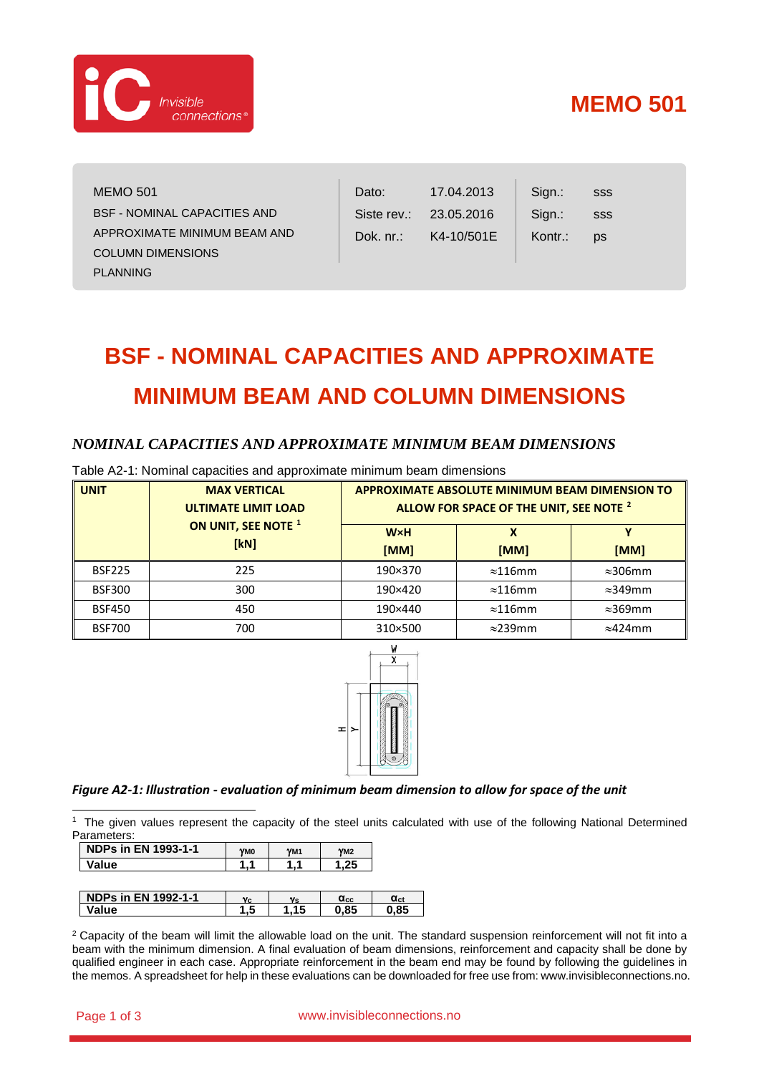

# **MEMO 501**

sss sss ps

| <b>MEMO 501</b>              |
|------------------------------|
| BSF - NOMINAL CAPACITIES AND |
| APPROXIMATE MINIMUM BEAM AND |
| <b>COLUMN DIMENSIONS</b>     |
| PLANNING                     |

| Dato:        | 17.04.2013 |
|--------------|------------|
| Siste rev.:  | 23.05.2016 |
| Dok. $nr$ .: | K4-10/501E |

Sign.: Sign.: Kontr.:

# **BSF - NOMINAL CAPACITIES AND APPROXIMATE MINIMUM BEAM AND COLUMN DIMENSIONS**

# *NOMINAL CAPACITIES AND APPROXIMATE MINIMUM BEAM DIMENSIONS*

| <b>UNIT</b>   | <b>MAX VERTICAL</b><br><b>ULTIMATE LIMIT LOAD</b> |                    | <b>APPROXIMATE ABSOLUTE MINIMUM BEAM DIMENSION TO</b><br>ALLOW FOR SPACE OF THE UNIT, SEE NOTE <sup>2</sup> |                 |
|---------------|---------------------------------------------------|--------------------|-------------------------------------------------------------------------------------------------------------|-----------------|
|               | ON UNIT, SEE NOTE <sup>1</sup><br>[kN]            | <b>W×H</b><br>[MM] | [MM]                                                                                                        | [MM]            |
| <b>BSF225</b> | 225                                               | 190×370            | $\approx$ 116mm                                                                                             | $\approx$ 306mm |
| <b>BSF300</b> | 300                                               | 190×420            | $\approx$ 116mm                                                                                             | $\approx$ 349mm |
| <b>BSF450</b> | 450                                               | 190×440            | $\approx$ 116mm                                                                                             | $\approx$ 369mm |
| <b>BSF700</b> | 700                                               | 310×500            | $\approx$ 239mm                                                                                             | $\approx$ 424mm |

Table A2-1: Nominal capacities and approximate minimum beam dimensions



# *Figure A2-1: Illustration - evaluation of minimum beam dimension to allow for space of the unit*

<span id="page-0-0"></span> 1 The given values represent the capacity of the steel units calculated with use of the following National Determined Parameters:

| <b>NDPs in EN 1993-1-1</b> | YM0 | YM <sub>1</sub> | YM2               |                 |
|----------------------------|-----|-----------------|-------------------|-----------------|
| Value                      |     |                 | .25               |                 |
|                            |     |                 |                   |                 |
|                            |     |                 |                   |                 |
| <b>NDPs in EN 1992-1-1</b> | Vc. | v <sub>s</sub>  | $\alpha_{\rm cc}$ | α <sub>ct</sub> |
|                            |     |                 |                   |                 |

**Value 1,5 1,15 0,85 0,85**

<span id="page-0-1"></span><sup>2</sup> Capacity of the beam will limit the allowable load on the unit. The standard suspension reinforcement will not fit into a beam with the minimum dimension. A final evaluation of beam dimensions, reinforcement and capacity shall be done by qualified engineer in each case. Appropriate reinforcement in the beam end may be found by following the guidelines in the memos. A spreadsheet for help in these evaluations can be downloaded for free use from: www.invisibleconnections.no.

#### Page 1 of 3 www.invisibleconnections.no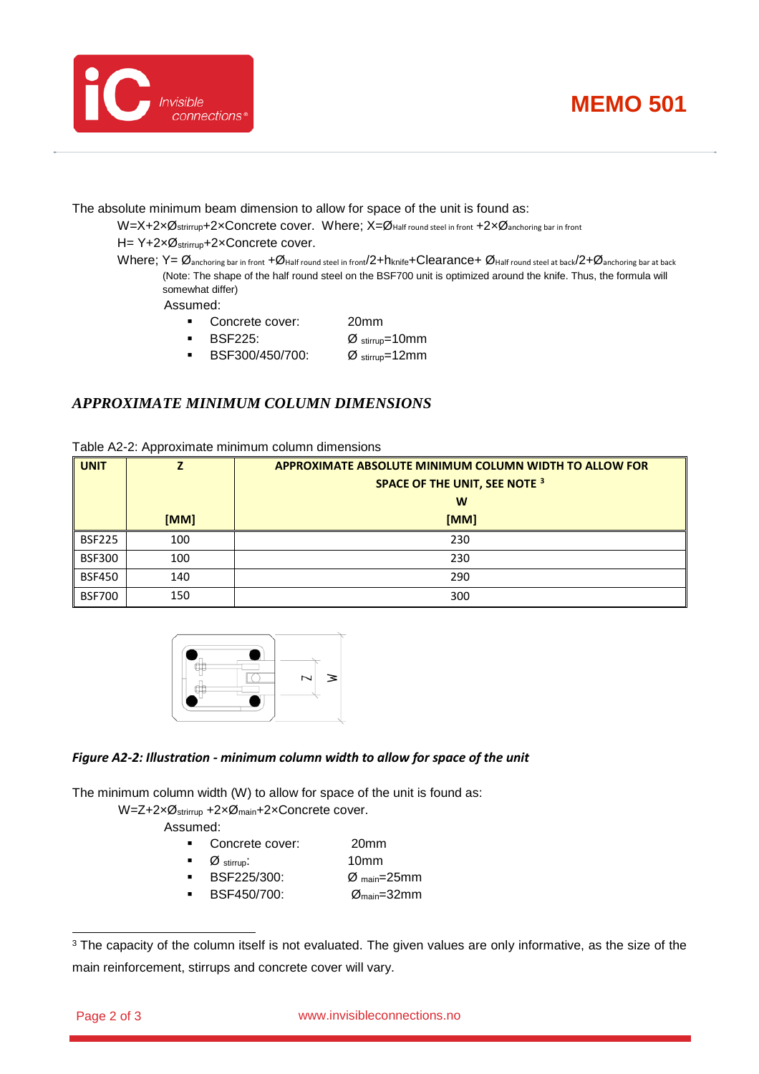



The absolute minimum beam dimension to allow for space of the unit is found as:

 $W=X+2\times\emptyset$ strirrup+2×Concrete cover. Where;  $X=\emptyset$ Half round steel in front +2× $\emptyset$ anchoring bar in front

# H= Y+2xØ<sub>strirrup</sub>+2xConcrete cover.

Where; Y=  $\emptyset$ <sub>anchoring bar in front</sub> +Ø<sub>Half round steel in front</sub>/2+h<sub>knife</sub>+Clearance+ Ø<sub>Half round steel at back/2+Ø<sub>anchoring</sub> bar at back</sub> (Note: The shape of the half round steel on the BSF700 unit is optimized around the knife. Thus, the formula will somewhat differ)

Assumed:

- Concrete cover: 20mm
- **BSF225:**  $\varnothing$  stirrup=10mm
- BSF300/450/700: Ø stirrup=12mm

# *APPROXIMATE MINIMUM COLUMN DIMENSIONS*

| <b>UNIT</b>   |      | <b>APPROXIMATE ABSOLUTE MINIMUM COLUMN WIDTH TO ALLOW FOR</b> |  |
|---------------|------|---------------------------------------------------------------|--|
|               |      | SPACE OF THE UNIT, SEE NOTE <sup>3</sup>                      |  |
|               |      | W                                                             |  |
|               | [MM] | [MM]                                                          |  |
| <b>BSF225</b> | 100  | 230                                                           |  |
| <b>BSF300</b> | 100  | 230                                                           |  |
| <b>BSF450</b> | 140  | 290                                                           |  |
| <b>BSF700</b> | 150  | 300                                                           |  |



# *Figure A2-2: Illustration - minimum column width to allow for space of the unit*

The minimum column width (W) to allow for space of the unit is found as:

W=Z+2xØ<sub>strirrup</sub> +2xØ<sub>main</sub>+2xConcrete cover.

Assumed:

- Concrete cover: 20mm
- Ø stirrup: 10mm
- BSF225/300: Ø main=25mm
- BSF450/700: Ømain=32mm

<span id="page-1-0"></span><sup>&</sup>lt;sup>3</sup> The capacity of the column itself is not evaluated. The given values are only informative, as the size of the main reinforcement, stirrups and concrete cover will vary.